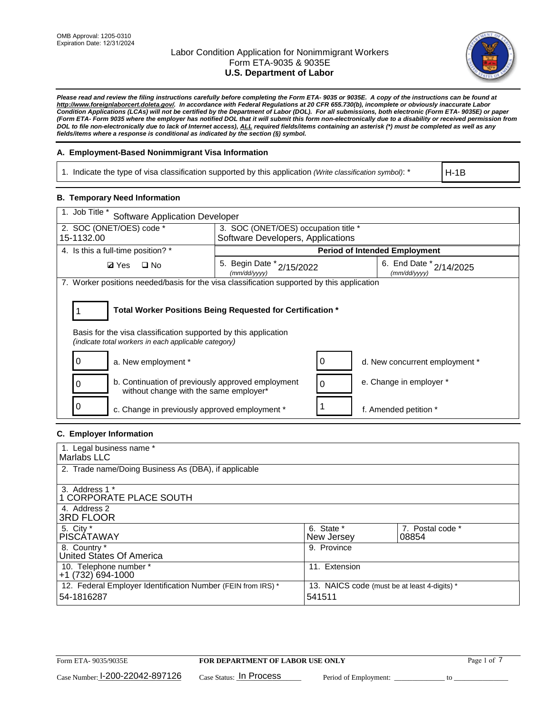

*Please read and review the filing instructions carefully before completing the Form ETA- 9035 or 9035E. A copy of the instructions can be found at http://www.foreignlaborcert.doleta.gov/. In accordance with Federal Regulations at 20 CFR 655.730(b), incomplete or obviously inaccurate Labor Condition Applications (LCAs) will not be certified by the Department of Labor (DOL). For all submissions, both electronic (Form ETA- 9035E) or paper (Form ETA- Form 9035 where the employer has notified DOL that it will submit this form non-electronically due to a disability or received permission from DOL to file non-electronically due to lack of Internet access), ALL required fields/items containing an asterisk (\*) must be completed as well as any fields/items where a response is conditional as indicated by the section (§) symbol.* 

# **A. Employment-Based Nonimmigrant Visa Information**

1. Indicate the type of visa classification supported by this application *(Write classification symbol)*: \*

H-1B

### **B. Temporary Need Information**

| 1. Job Title *<br><b>Software Application Developer</b>                                                                                                                               |                                               |   |                                             |  |
|---------------------------------------------------------------------------------------------------------------------------------------------------------------------------------------|-----------------------------------------------|---|---------------------------------------------|--|
| 2. SOC (ONET/OES) code *                                                                                                                                                              | 3. SOC (ONET/OES) occupation title *          |   |                                             |  |
| 15-1132.00                                                                                                                                                                            | Software Developers, Applications             |   |                                             |  |
| 4. Is this a full-time position? *                                                                                                                                                    |                                               |   | <b>Period of Intended Employment</b>        |  |
| $\Box$ No<br><b>Ø</b> Yes                                                                                                                                                             | 5. Begin Date $x^*$ 2/15/2022<br>(mm/dd/yyyy) |   | 6. End Date $x_{2/14/2025}$<br>(mm/dd/yyyy) |  |
| 7. Worker positions needed/basis for the visa classification supported by this application                                                                                            |                                               |   |                                             |  |
| Total Worker Positions Being Requested for Certification *<br>Basis for the visa classification supported by this application<br>(indicate total workers in each applicable category) |                                               |   |                                             |  |
| a. New employment *                                                                                                                                                                   |                                               |   | d. New concurrent employment *              |  |
| b. Continuation of previously approved employment<br>0<br>without change with the same employer*                                                                                      |                                               | 0 | e. Change in employer *                     |  |
| c. Change in previously approved employment *                                                                                                                                         |                                               |   | f. Amended petition *                       |  |

## **C. Employer Information**

| 1. Legal business name *                                                   |                                                        |                           |
|----------------------------------------------------------------------------|--------------------------------------------------------|---------------------------|
| Marlabs LLC                                                                |                                                        |                           |
| 2. Trade name/Doing Business As (DBA), if applicable                       |                                                        |                           |
| 3. Address 1 *<br>1 CORPORATE PLACE SOUTH<br>4. Address 2                  |                                                        |                           |
| <b>3RD FLOOR</b>                                                           |                                                        |                           |
| 5. City *<br><b>PISCÁTAWAY</b>                                             | 6. State *<br>New Jersey                               | 7. Postal code *<br>08854 |
| 8. Country *<br>United States Of America                                   | 9. Province                                            |                           |
| 10. Telephone number *<br>$+1(732)694-1000$                                | 11. Extension                                          |                           |
| 12. Federal Employer Identification Number (FEIN from IRS) *<br>54-1816287 | 13. NAICS code (must be at least 4-digits) *<br>541511 |                           |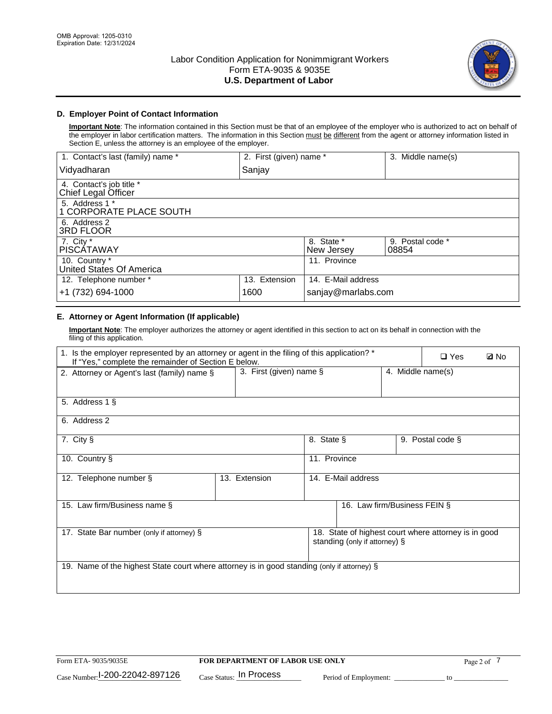

## **D. Employer Point of Contact Information**

**Important Note**: The information contained in this Section must be that of an employee of the employer who is authorized to act on behalf of the employer in labor certification matters. The information in this Section must be different from the agent or attorney information listed in Section E, unless the attorney is an employee of the employer.

| 1. Contact's last (family) name *               | 2. First (given) name * |                          | 3. Middle name(s)         |
|-------------------------------------------------|-------------------------|--------------------------|---------------------------|
| Vidyadharan                                     | Sanjay                  |                          |                           |
| 4. Contact's job title *<br>Chief Legal Officer |                         |                          |                           |
| 5. Address 1 *<br>1 CORPORATE PLACE SOUTH       |                         |                          |                           |
| 6. Address 2<br>3RD FLOOR                       |                         |                          |                           |
| 7. City $*$<br><b>PISCÁTAWAY</b>                |                         | 8. State *<br>New Jersey | 9. Postal code *<br>08854 |
| 10. Country *<br>United States Of America       |                         | 11. Province             |                           |
| 12. Telephone number *                          | 13. Extension           | 14. E-Mail address       |                           |
| +1 (732) 694-1000                               | 1600                    | sanjay@marlabs.com       |                           |

## **E. Attorney or Agent Information (If applicable)**

**Important Note**: The employer authorizes the attorney or agent identified in this section to act on its behalf in connection with the filing of this application.

| 1. Is the employer represented by an attorney or agent in the filing of this application? *<br>If "Yes," complete the remainder of Section E below. |                            |              |                               |                   | $\Box$ Yes                                           | <b>Ø</b> No |
|-----------------------------------------------------------------------------------------------------------------------------------------------------|----------------------------|--------------|-------------------------------|-------------------|------------------------------------------------------|-------------|
| 2. Attorney or Agent's last (family) name §                                                                                                         | 3. First (given) name $\S$ |              |                               | 4. Middle name(s) |                                                      |             |
| 5. Address 1 §                                                                                                                                      |                            |              |                               |                   |                                                      |             |
| 6. Address 2                                                                                                                                        |                            |              |                               |                   |                                                      |             |
| 7. City §                                                                                                                                           |                            | 8. State §   |                               |                   | 9. Postal code §                                     |             |
| 10. Country §                                                                                                                                       |                            | 11. Province |                               |                   |                                                      |             |
| 12. Telephone number §                                                                                                                              | 13. Extension              |              | 14. E-Mail address            |                   |                                                      |             |
| 15. Law firm/Business name §                                                                                                                        |                            |              | 16. Law firm/Business FEIN §  |                   |                                                      |             |
| 17. State Bar number (only if attorney) §                                                                                                           |                            |              | standing (only if attorney) § |                   | 18. State of highest court where attorney is in good |             |
| 19. Name of the highest State court where attorney is in good standing (only if attorney) §                                                         |                            |              |                               |                   |                                                      |             |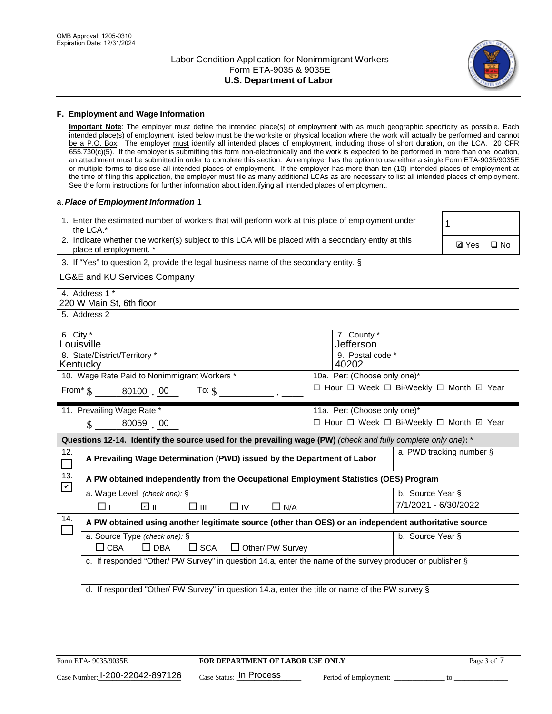

### **F. Employment and Wage Information**

**Important Note**: The employer must define the intended place(s) of employment with as much geographic specificity as possible. Each intended place(s) of employment listed below must be the worksite or physical location where the work will actually be performed and cannot be a P.O. Box. The employer must identify all intended places of employment, including those of short duration, on the LCA. 20 CFR 655.730(c)(5). If the employer is submitting this form non-electronically and the work is expected to be performed in more than one location, an attachment must be submitted in order to complete this section. An employer has the option to use either a single Form ETA-9035/9035E or multiple forms to disclose all intended places of employment. If the employer has more than ten (10) intended places of employment at the time of filing this application, the employer must file as many additional LCAs as are necessary to list all intended places of employment. See the form instructions for further information about identifying all intended places of employment.

### a.*Place of Employment Information* 1

|                                                                              | 1. Enter the estimated number of workers that will perform work at this place of employment under<br>the LCA.*                 |  | 1                                        |                      |                          |  |  |
|------------------------------------------------------------------------------|--------------------------------------------------------------------------------------------------------------------------------|--|------------------------------------------|----------------------|--------------------------|--|--|
|                                                                              | 2. Indicate whether the worker(s) subject to this LCA will be placed with a secondary entity at this<br>place of employment. * |  | <b>Ø</b> Yes                             | $\square$ No         |                          |  |  |
|                                                                              | 3. If "Yes" to question 2, provide the legal business name of the secondary entity. §                                          |  |                                          |                      |                          |  |  |
|                                                                              | LG&E and KU Services Company                                                                                                   |  |                                          |                      |                          |  |  |
|                                                                              | 4. Address 1 *<br>220 W Main St, 6th floor                                                                                     |  |                                          |                      |                          |  |  |
|                                                                              | 5. Address 2                                                                                                                   |  |                                          |                      |                          |  |  |
| 6. City $*$<br>Louisville                                                    |                                                                                                                                |  | 7. County *<br>Jefferson                 |                      |                          |  |  |
|                                                                              | 8. State/District/Territory *<br>9. Postal code *<br>Kentucky<br>40202                                                         |  |                                          |                      |                          |  |  |
| 10. Wage Rate Paid to Nonimmigrant Workers *<br>10a. Per: (Choose only one)* |                                                                                                                                |  |                                          |                      |                          |  |  |
|                                                                              | □ Hour □ Week □ Bi-Weekly □ Month □ Year<br>From $\text{\$}$ 80100 00<br>To: $\mathsf{\$}$                                     |  |                                          |                      |                          |  |  |
|                                                                              | 11. Prevailing Wage Rate *<br>11a. Per: (Choose only one)*                                                                     |  |                                          |                      |                          |  |  |
|                                                                              | $\sin 80059$ 00                                                                                                                |  | □ Hour □ Week □ Bi-Weekly □ Month ☑ Year |                      |                          |  |  |
|                                                                              | Questions 12-14. Identify the source used for the prevailing wage (PW) (check and fully complete only one): *                  |  |                                          |                      |                          |  |  |
| 12.                                                                          | A Prevailing Wage Determination (PWD) issued by the Department of Labor                                                        |  |                                          |                      | a. PWD tracking number § |  |  |
| 13.<br>$\blacktriangledown$                                                  | A PW obtained independently from the Occupational Employment Statistics (OES) Program                                          |  |                                          |                      |                          |  |  |
|                                                                              | a. Wage Level (check one): §                                                                                                   |  |                                          | b. Source Year §     |                          |  |  |
|                                                                              | ☑ ⊪<br>$\square$ $\square$<br>$\square$ IV<br>$\Box$ N/A<br>□⊥                                                                 |  |                                          | 7/1/2021 - 6/30/2022 |                          |  |  |
| 14.                                                                          | A PW obtained using another legitimate source (other than OES) or an independent authoritative source                          |  |                                          |                      |                          |  |  |
|                                                                              | a. Source Type (check one): §<br>$\Box$ CBA<br>$\Box$ DBA<br>$\square$ SCA<br>$\Box$ Other/ PW Survey                          |  |                                          | b. Source Year §     |                          |  |  |
|                                                                              | c. If responded "Other/ PW Survey" in question 14.a, enter the name of the survey producer or publisher §                      |  |                                          |                      |                          |  |  |
|                                                                              | d. If responded "Other/ PW Survey" in question 14.a, enter the title or name of the PW survey §                                |  |                                          |                      |                          |  |  |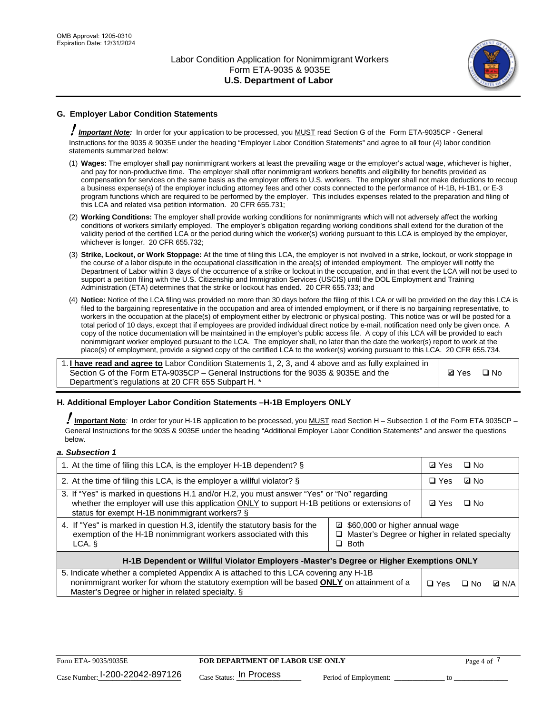

## **G. Employer Labor Condition Statements**

! *Important Note:* In order for your application to be processed, you MUST read Section G of the Form ETA-9035CP - General Instructions for the 9035 & 9035E under the heading "Employer Labor Condition Statements" and agree to all four (4) labor condition statements summarized below:

- (1) **Wages:** The employer shall pay nonimmigrant workers at least the prevailing wage or the employer's actual wage, whichever is higher, and pay for non-productive time. The employer shall offer nonimmigrant workers benefits and eligibility for benefits provided as compensation for services on the same basis as the employer offers to U.S. workers. The employer shall not make deductions to recoup a business expense(s) of the employer including attorney fees and other costs connected to the performance of H-1B, H-1B1, or E-3 program functions which are required to be performed by the employer. This includes expenses related to the preparation and filing of this LCA and related visa petition information. 20 CFR 655.731;
- (2) **Working Conditions:** The employer shall provide working conditions for nonimmigrants which will not adversely affect the working conditions of workers similarly employed. The employer's obligation regarding working conditions shall extend for the duration of the validity period of the certified LCA or the period during which the worker(s) working pursuant to this LCA is employed by the employer, whichever is longer. 20 CFR 655.732;
- (3) **Strike, Lockout, or Work Stoppage:** At the time of filing this LCA, the employer is not involved in a strike, lockout, or work stoppage in the course of a labor dispute in the occupational classification in the area(s) of intended employment. The employer will notify the Department of Labor within 3 days of the occurrence of a strike or lockout in the occupation, and in that event the LCA will not be used to support a petition filing with the U.S. Citizenship and Immigration Services (USCIS) until the DOL Employment and Training Administration (ETA) determines that the strike or lockout has ended. 20 CFR 655.733; and
- (4) **Notice:** Notice of the LCA filing was provided no more than 30 days before the filing of this LCA or will be provided on the day this LCA is filed to the bargaining representative in the occupation and area of intended employment, or if there is no bargaining representative, to workers in the occupation at the place(s) of employment either by electronic or physical posting. This notice was or will be posted for a total period of 10 days, except that if employees are provided individual direct notice by e-mail, notification need only be given once. A copy of the notice documentation will be maintained in the employer's public access file. A copy of this LCA will be provided to each nonimmigrant worker employed pursuant to the LCA. The employer shall, no later than the date the worker(s) report to work at the place(s) of employment, provide a signed copy of the certified LCA to the worker(s) working pursuant to this LCA. 20 CFR 655.734.

1. **I have read and agree to** Labor Condition Statements 1, 2, 3, and 4 above and as fully explained in Section G of the Form ETA-9035CP – General Instructions for the 9035 & 9035E and the Department's regulations at 20 CFR 655 Subpart H. \*

**Ø**Yes ロNo

### **H. Additional Employer Labor Condition Statements –H-1B Employers ONLY**

!**Important Note***:* In order for your H-1B application to be processed, you MUST read Section H – Subsection 1 of the Form ETA 9035CP – General Instructions for the 9035 & 9035E under the heading "Additional Employer Labor Condition Statements" and answer the questions below.

#### *a. Subsection 1*

| 1. At the time of filing this LCA, is the employer H-1B dependent? §                                                                                                                                                                                            |  |  | □ No      |              |  |
|-----------------------------------------------------------------------------------------------------------------------------------------------------------------------------------------------------------------------------------------------------------------|--|--|-----------|--------------|--|
| 2. At the time of filing this LCA, is the employer a willful violator? $\S$                                                                                                                                                                                     |  |  | ⊡ No      |              |  |
| 3. If "Yes" is marked in questions H.1 and/or H.2, you must answer "Yes" or "No" regarding<br>whether the employer will use this application ONLY to support H-1B petitions or extensions of<br>status for exempt H-1B nonimmigrant workers? §                  |  |  | $\Box$ No |              |  |
| 4. If "Yes" is marked in question H.3, identify the statutory basis for the<br>■ \$60,000 or higher annual wage<br>exemption of the H-1B nonimmigrant workers associated with this<br>□ Master's Degree or higher in related specialty<br>$\Box$ Both<br>LCA. § |  |  |           |              |  |
| H-1B Dependent or Willful Violator Employers -Master's Degree or Higher Exemptions ONLY                                                                                                                                                                         |  |  |           |              |  |
| 5. Indicate whether a completed Appendix A is attached to this LCA covering any H-1B<br>nonimmigrant worker for whom the statutory exemption will be based <b>ONLY</b> on attainment of a<br>Master's Degree or higher in related specialty. §                  |  |  | ⊡ No      | <b>Q</b> N/A |  |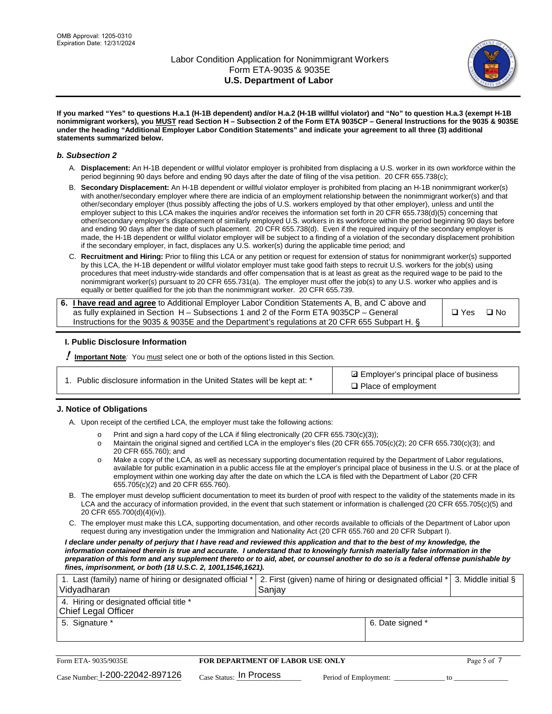

**If you marked "Yes" to questions H.a.1 (H-1B dependent) and/or H.a.2 (H-1B willful violator) and "No" to question H.a.3 (exempt H-1B nonimmigrant workers), you MUST read Section H – Subsection 2 of the Form ETA 9035CP – General Instructions for the 9035 & 9035E under the heading "Additional Employer Labor Condition Statements" and indicate your agreement to all three (3) additional statements summarized below.**

#### *b. Subsection 2*

- A. **Displacement:** An H-1B dependent or willful violator employer is prohibited from displacing a U.S. worker in its own workforce within the period beginning 90 days before and ending 90 days after the date of filing of the visa petition. 20 CFR 655.738(c);
- B. **Secondary Displacement:** An H-1B dependent or willful violator employer is prohibited from placing an H-1B nonimmigrant worker(s) with another/secondary employer where there are indicia of an employment relationship between the nonimmigrant worker(s) and that other/secondary employer (thus possibly affecting the jobs of U.S. workers employed by that other employer), unless and until the employer subject to this LCA makes the inquiries and/or receives the information set forth in 20 CFR 655.738(d)(5) concerning that other/secondary employer's displacement of similarly employed U.S. workers in its workforce within the period beginning 90 days before and ending 90 days after the date of such placement. 20 CFR 655.738(d). Even if the required inquiry of the secondary employer is made, the H-1B dependent or willful violator employer will be subject to a finding of a violation of the secondary displacement prohibition if the secondary employer, in fact, displaces any U.S. worker(s) during the applicable time period; and
- C. **Recruitment and Hiring:** Prior to filing this LCA or any petition or request for extension of status for nonimmigrant worker(s) supported by this LCA, the H-1B dependent or willful violator employer must take good faith steps to recruit U.S. workers for the job(s) using procedures that meet industry-wide standards and offer compensation that is at least as great as the required wage to be paid to the nonimmigrant worker(s) pursuant to 20 CFR 655.731(a). The employer must offer the job(s) to any U.S. worker who applies and is equally or better qualified for the job than the nonimmigrant worker. 20 CFR 655.739.

| 6. I have read and agree to Additional Employer Labor Condition Statements A, B, and C above and |       |           |
|--------------------------------------------------------------------------------------------------|-------|-----------|
| as fully explained in Section H – Subsections 1 and 2 of the Form ETA 9035CP – General           | □ Yes | $\Box$ No |
| Instructions for the 9035 & 9035E and the Department's regulations at 20 CFR 655 Subpart H. §    |       |           |

### **I. Public Disclosure Information**

! **Important Note***:* You must select one or both of the options listed in this Section.

| 1. Public disclosure information in the United States will be kept at: * |  |  |  |  |  |  |  |
|--------------------------------------------------------------------------|--|--|--|--|--|--|--|
|--------------------------------------------------------------------------|--|--|--|--|--|--|--|

**sqrt** Employer's principal place of business □ Place of employment

### **J. Notice of Obligations**

A. Upon receipt of the certified LCA, the employer must take the following actions:

- o Print and sign a hard copy of the LCA if filing electronically (20 CFR 655.730(c)(3));<br>
Maintain the original signed and certified LCA in the employer's files (20 CFR 655.7
- Maintain the original signed and certified LCA in the employer's files (20 CFR 655.705(c)(2); 20 CFR 655.730(c)(3); and 20 CFR 655.760); and
- o Make a copy of the LCA, as well as necessary supporting documentation required by the Department of Labor regulations, available for public examination in a public access file at the employer's principal place of business in the U.S. or at the place of employment within one working day after the date on which the LCA is filed with the Department of Labor (20 CFR 655.705(c)(2) and 20 CFR 655.760).
- B. The employer must develop sufficient documentation to meet its burden of proof with respect to the validity of the statements made in its LCA and the accuracy of information provided, in the event that such statement or information is challenged (20 CFR 655.705(c)(5) and 20 CFR 655.700(d)(4)(iv)).
- C. The employer must make this LCA, supporting documentation, and other records available to officials of the Department of Labor upon request during any investigation under the Immigration and Nationality Act (20 CFR 655.760 and 20 CFR Subpart I).

*I declare under penalty of perjury that I have read and reviewed this application and that to the best of my knowledge, the*  information contained therein is true and accurate. I understand that to knowingly furnish materially false information in the *preparation of this form and any supplement thereto or to aid, abet, or counsel another to do so is a federal offense punishable by fines, imprisonment, or both (18 U.S.C. 2, 1001,1546,1621).*

| 1. Last (family) name of hiring or designated official *   2. First (given) name of hiring or designated official *   3. Middle initial §<br>Vidyadharan | Saniav           |  |
|----------------------------------------------------------------------------------------------------------------------------------------------------------|------------------|--|
| 4. Hiring or designated official title *<br>Chief Legal Officer                                                                                          |                  |  |
| 5. Signature *                                                                                                                                           | 6. Date signed * |  |

| Form ETA-9035/9035E                         | <b>FOR DEPARTMENT OF LABOR USE ONLY</b> |                       | Page 5 of 7 |
|---------------------------------------------|-----------------------------------------|-----------------------|-------------|
| $_{\text{Case Number:}}$ 1-200-22042-897126 | $_{Case\; Status:}$ In Process          | Period of Employment: |             |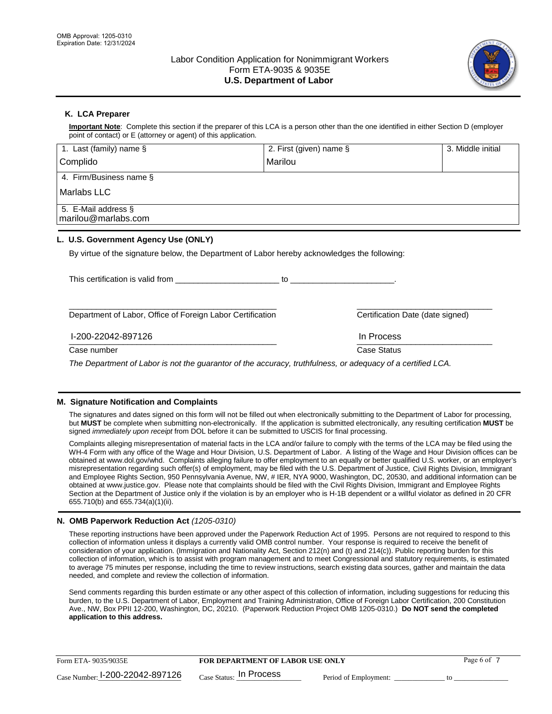

## **K. LCA Preparer**

**Important Note**: Complete this section if the preparer of this LCA is a person other than the one identified in either Section D (employer point of contact) or E (attorney or agent) of this application.

| 1. Last (family) name $\S$                                                                   | 2. First (given) name §                                                                                                                                                                                                        | 3. Middle initial |
|----------------------------------------------------------------------------------------------|--------------------------------------------------------------------------------------------------------------------------------------------------------------------------------------------------------------------------------|-------------------|
| Complido                                                                                     | Marilou                                                                                                                                                                                                                        |                   |
| 4. Firm/Business name §                                                                      |                                                                                                                                                                                                                                |                   |
| l Marlabs LLC                                                                                |                                                                                                                                                                                                                                |                   |
| 5. E-Mail address §<br>marilou@marlabs.com                                                   |                                                                                                                                                                                                                                |                   |
| L. U.S. Government Agency Use (ONLY)                                                         |                                                                                                                                                                                                                                |                   |
| By virtue of the signature below, the Department of Labor hereby acknowledges the following: |                                                                                                                                                                                                                                |                   |
|                                                                                              | to the contract of the contract of the contract of the contract of the contract of the contract of the contract of the contract of the contract of the contract of the contract of the contract of the contract of the contrac |                   |
| Department of Labor, Office of Foreign Labor Certification                                   | Certification Date (date signed)                                                                                                                                                                                               |                   |

Case number **Case Status** Case Status **Case Status** 

I-200-22042-897126 In Process

*The Department of Labor is not the guarantor of the accuracy, truthfulness, or adequacy of a certified LCA.*

 $\frac{1111100688}{1111100688}$ 

### **M. Signature Notification and Complaints**

The signatures and dates signed on this form will not be filled out when electronically submitting to the Department of Labor for processing, but **MUST** be complete when submitting non-electronically. If the application is submitted electronically, any resulting certification **MUST** be signed *immediately upon receipt* from DOL before it can be submitted to USCIS for final processing.

Complaints alleging misrepresentation of material facts in the LCA and/or failure to comply with the terms of the LCA may be filed using the WH-4 Form with any office of the Wage and Hour Division, U.S. Department of Labor. A listing of the Wage and Hour Division offices can be obtained at www.dol.gov/whd. Complaints alleging failure to offer employment to an equally or better qualified U.S. worker, or an employer's misrepresentation regarding such offer(s) of employment, may be filed with the U.S. Department of Justice, Civil Rights Division, Immigrant and Employee Rights Section, 950 Pennsylvania Avenue, NW, # IER, NYA 9000, Washington, DC, 20530, and additional information can be obtained at www.justice.gov. Please note that complaints should be filed with the Civil Rights Division, Immigrant and Employee Rights Section at the Department of Justice only if the violation is by an employer who is H-1B dependent or a willful violator as defined in 20 CFR 655.710(b) and 655.734(a)(1)(ii).

### **N. OMB Paperwork Reduction Act** *(1205-0310)*

These reporting instructions have been approved under the Paperwork Reduction Act of 1995. Persons are not required to respond to this collection of information unless it displays a currently valid OMB control number. Your response is required to receive the benefit of consideration of your application. (Immigration and Nationality Act, Section 212(n) and (t) and 214(c)). Public reporting burden for this collection of information, which is to assist with program management and to meet Congressional and statutory requirements, is estimated to average 75 minutes per response, including the time to review instructions, search existing data sources, gather and maintain the data needed, and complete and review the collection of information.

Send comments regarding this burden estimate or any other aspect of this collection of information, including suggestions for reducing this burden, to the U.S. Department of Labor, Employment and Training Administration, Office of Foreign Labor Certification, 200 Constitution Ave., NW, Box PPII 12-200, Washington, DC, 20210. (Paperwork Reduction Project OMB 1205-0310.) **Do NOT send the completed application to this address.**

| Form ETA-9035/9035E             | <b>FOR DEPARTMENT OF LABOR USE ONLY</b> |                       | Page 6 of |
|---------------------------------|-----------------------------------------|-----------------------|-----------|
| Case Number: 1-200-22042-897126 | $_{\text{Case Status:}}$ In Process     | Period of Employment: |           |